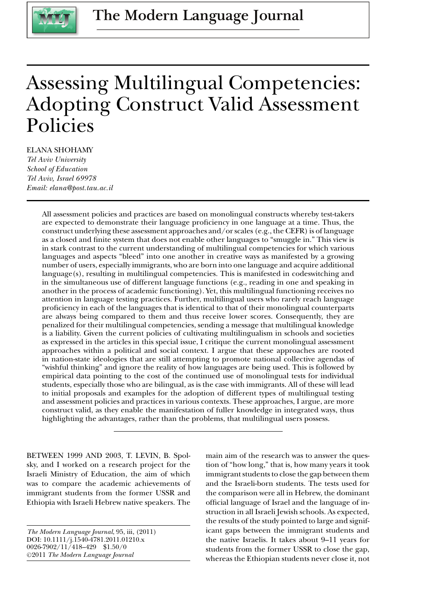

# Assessing Multilingual Competencies: Adopting Construct Valid Assessment Policies

ELANA SHOHAMY

*Tel Aviv University School of Education Tel Aviv, Israel 69978 Email: elana@post.tau.ac.il*

> All assessment policies and practices are based on monolingual constructs whereby test-takers are expected to demonstrate their language proficiency in one language at a time. Thus, the construct underlying these assessment approaches and/or scales (e.g., the CEFR) is of language as a closed and finite system that does not enable other languages to "smuggle in." This view is in stark contrast to the current understanding of multilingual competencies for which various languages and aspects "bleed" into one another in creative ways as manifested by a growing number of users, especially immigrants, who are born into one language and acquire additional language(s), resulting in multilingual competencies. This is manifested in codeswitching and in the simultaneous use of different language functions (e.g., reading in one and speaking in another in the process of academic functioning). Yet, this multilingual functioning receives no attention in language testing practices. Further, multilingual users who rarely reach language proficiency in each of the languages that is identical to that of their monolingual counterparts are always being compared to them and thus receive lower scores. Consequently, they are penalized for their multilingual competencies, sending a message that multilingual knowledge is a liability. Given the current policies of cultivating multilingualism in schools and societies as expressed in the articles in this special issue, I critique the current monolingual assessment approaches within a political and social context. I argue that these approaches are rooted in nation-state ideologies that are still attempting to promote national collective agendas of "wishful thinking" and ignore the reality of how languages are being used. This is followed by empirical data pointing to the cost of the continued use of monolingual tests for individual students, especially those who are bilingual, as is the case with immigrants. All of these will lead to initial proposals and examples for the adoption of different types of multilingual testing and assessment policies and practices in various contexts. These approaches, I argue, are more construct valid, as they enable the manifestation of fuller knowledge in integrated ways, thus highlighting the advantages, rather than the problems, that multilingual users possess.

BETWEEN 1999 AND 2003, T. LEVIN, B. Spolsky, and I worked on a research project for the Israeli Ministry of Education, the aim of which was to compare the academic achievements of immigrant students from the former USSR and Ethiopia with Israeli Hebrew native speakers. The

main aim of the research was to answer the question of "how long," that is, how many years it took immigrant students to close the gap between them and the Israeli-born students. The tests used for the comparison were all in Hebrew, the dominant official language of Israel and the language of instruction in all Israeli Jewish schools. As expected, the results of the study pointed to large and significant gaps between the immigrant students and the native Israelis. It takes about 9–11 years for students from the former USSR to close the gap, whereas the Ethiopian students never close it, not

*The Modern Language Journal*, 95, iii, (2011) DOI: 10.1111/j.1540-4781.2011.01210.x 0026-7902/11/418–429 \$1.50/0 -<sup>C</sup> 2011 *The Modern Language Journal*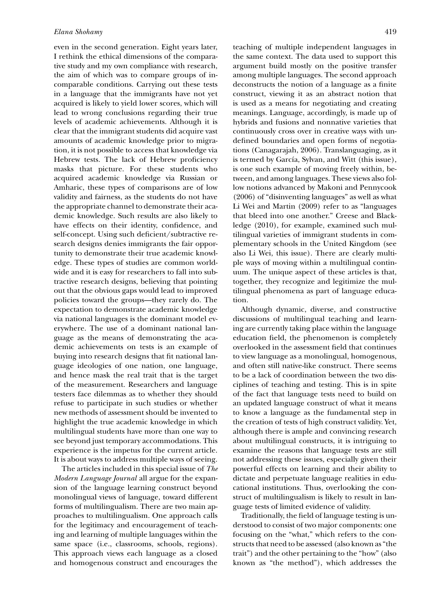even in the second generation. Eight years later, I rethink the ethical dimensions of the comparative study and my own compliance with research, the aim of which was to compare groups of incomparable conditions. Carrying out these tests in a language that the immigrants have not yet acquired is likely to yield lower scores, which will lead to wrong conclusions regarding their true levels of academic achievements. Although it is clear that the immigrant students did acquire vast amounts of academic knowledge prior to migration, it is not possible to access that knowledge via Hebrew tests. The lack of Hebrew proficiency masks that picture. For these students who acquired academic knowledge via Russian or Amharic, these types of comparisons are of low validity and fairness, as the students do not have the appropriate channel to demonstrate their academic knowledge. Such results are also likely to have effects on their identity, confidence, and self-concept. Using such deficient/subtractive research designs denies immigrants the fair opportunity to demonstrate their true academic knowledge. These types of studies are common worldwide and it is easy for researchers to fall into subtractive research designs, believing that pointing out that the obvious gaps would lead to improved policies toward the groups—they rarely do. The expectation to demonstrate academic knowledge via national languages is the dominant model everywhere. The use of a dominant national language as the means of demonstrating the academic achievements on tests is an example of buying into research designs that fit national language ideologies of one nation, one language, and hence mask the real trait that is the target of the measurement. Researchers and language testers face dilemmas as to whether they should refuse to participate in such studies or whether new methods of assessment should be invented to highlight the true academic knowledge in which multilingual students have more than one way to see beyond just temporary accommodations. This experience is the impetus for the current article. It is about ways to address multiple ways of seeing.

The articles included in this special issue of *The Modern Language Journal* all argue for the expansion of the language learning construct beyond monolingual views of language, toward different forms of multilingualism. There are two main approaches to multilingualism. One approach calls for the legitimacy and encouragement of teaching and learning of multiple languages within the same space (i.e., classrooms, schools, regions). This approach views each language as a closed and homogenous construct and encourages the

teaching of multiple independent languages in the same context. The data used to support this argument build mostly on the positive transfer among multiple languages. The second approach deconstructs the notion of a language as a finite construct, viewing it as an abstract notion that is used as a means for negotiating and creating meanings. Language, accordingly, is made up of hybrids and fusions and nonnative varieties that continuously cross over in creative ways with undefined boundaries and open forms of negotiations (Canagarajah, 2006). Translanguaging, as it is termed by García, Sylvan, and Witt (this issue), is one such example of moving freely within, between, and among languages. These views also follow notions advanced by Makoni and Pennycook (2006) of "disinventing languages" as well as what Li Wei and Martin (2009) refer to as "languages that bleed into one another." Creese and Blackledge (2010), for example, examined such multilingual varieties of immigrant students in complementary schools in the United Kingdom (see also Li Wei, this issue). There are clearly multiple ways of moving within a multilingual continuum. The unique aspect of these articles is that, together, they recognize and legitimize the multilingual phenomena as part of language education.

Although dynamic, diverse, and constructive discussions of multilingual teaching and learning are currently taking place within the language education field, the phenomenon is completely overlooked in the assessment field that continues to view language as a monolingual, homogenous, and often still native-like construct. There seems to be a lack of coordination between the two disciplines of teaching and testing. This is in spite of the fact that language tests need to build on an updated language construct of what it means to know a language as the fundamental step in the creation of tests of high construct validity. Yet, although there is ample and convincing research about multilingual constructs, it is intriguing to examine the reasons that language tests are still not addressing these issues, especially given their powerful effects on learning and their ability to dictate and perpetuate language realities in educational institutions. Thus, overlooking the construct of multilingualism is likely to result in language tests of limited evidence of validity.

Traditionally, the field of language testing is understood to consist of two major components: one focusing on the "what," which refers to the constructs that need to be assessed (also known as "the trait") and the other pertaining to the "how" (also known as "the method"), which addresses the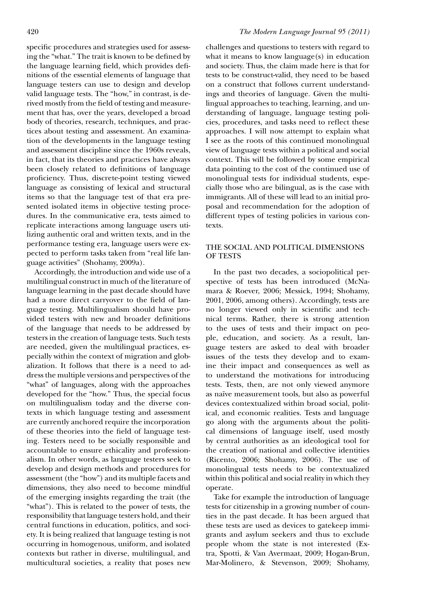specific procedures and strategies used for assessing the "what." The trait is known to be defined by the language learning field, which provides definitions of the essential elements of language that language testers can use to design and develop valid language tests. The "how," in contrast, is derived mostly from the field of testing and measurement that has, over the years, developed a broad body of theories, research, techniques, and practices about testing and assessment. An examination of the developments in the language testing and assessment discipline since the 1960s reveals, in fact, that its theories and practices have always been closely related to definitions of language proficiency. Thus, discrete-point testing viewed language as consisting of lexical and structural items so that the language test of that era presented isolated items in objective testing procedures. In the communicative era, tests aimed to replicate interactions among language users utilizing authentic oral and written texts, and in the performance testing era, language users were expected to perform tasks taken from "real life language activities" (Shohamy, 2009a).

Accordingly, the introduction and wide use of a multilingual construct in much of the literature of language learning in the past decade should have had a more direct carryover to the field of language testing. Multilingualism should have provided testers with new and broader definitions of the language that needs to be addressed by testers in the creation of language tests. Such tests are needed, given the multilingual practices, especially within the context of migration and globalization. It follows that there is a need to address the multiple versions and perspectives of the "what" of languages, along with the approaches developed for the "how." Thus, the special focus on multilingualism today and the diverse contexts in which language testing and assessment are currently anchored require the incorporation of these theories into the field of language testing. Testers need to be socially responsible and accountable to ensure ethicality and professionalism. In other words, as language testers seek to develop and design methods and procedures for assessment (the "how") and its multiple facets and dimensions, they also need to become mindful of the emerging insights regarding the trait (the "what"). This is related to the power of tests, the responsibility that language testers hold, and their central functions in education, politics, and society. It is being realized that language testing is not occurring in homogenous, uniform, and isolated contexts but rather in diverse, multilingual, and multicultural societies, a reality that poses new

challenges and questions to testers with regard to what it means to know language(s) in education and society. Thus, the claim made here is that for tests to be construct-valid, they need to be based on a construct that follows current understandings and theories of language. Given the multilingual approaches to teaching, learning, and understanding of language, language testing policies, procedures, and tasks need to reflect these approaches. I will now attempt to explain what I see as the roots of this continued monolingual view of language tests within a political and social context. This will be followed by some empirical data pointing to the cost of the continued use of monolingual tests for individual students, especially those who are bilingual, as is the case with immigrants. All of these will lead to an initial proposal and recommendation for the adoption of different types of testing policies in various contexts.

#### THE SOCIAL AND POLITICAL DIMENSIONS OF TESTS

In the past two decades, a sociopolitical perspective of tests has been introduced (McNamara & Roever, 2006; Messick, 1994; Shohamy, 2001, 2006, among others). Accordingly, tests are no longer viewed only in scientific and technical terms. Rather, there is strong attention to the uses of tests and their impact on people, education, and society. As a result, language testers are asked to deal with broader issues of the tests they develop and to examine their impact and consequences as well as to understand the motivations for introducing tests. Tests, then, are not only viewed anymore as naïve measurement tools, but also as powerful devices contextualized within broad social, political, and economic realities. Tests and language go along with the arguments about the political dimensions of language itself, used mostly by central authorities as an ideological tool for the creation of national and collective identities (Ricento, 2006; Shohamy, 2006). The use of monolingual tests needs to be contextualized within this political and social reality in which they operate.

Take for example the introduction of language tests for citizenship in a growing number of counties in the past decade. It has been argued that these tests are used as devices to gatekeep immigrants and asylum seekers and thus to exclude people whom the state is not interested (Extra, Spotti, & Van Avermaat, 2009; Hogan-Brun, Mar-Molinero, & Stevenson, 2009; Shohamy,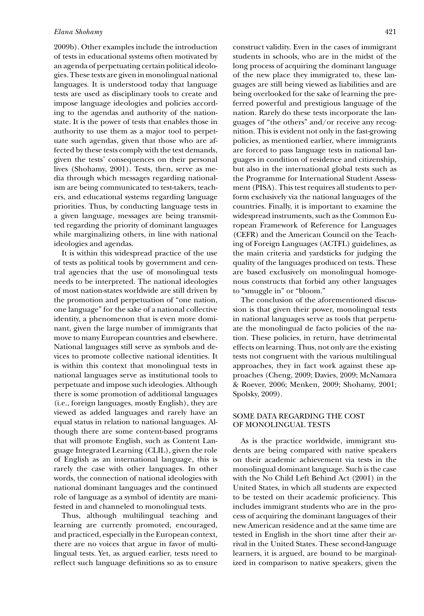#### *Elana Shohamy* 421

2009b). Other examples include the introduction of tests in educational systems often motivated by an agenda of perpetuating certain political ideologies. These tests are given in monolingual national languages. It is understood today that language tests are used as disciplinary tools to create and impose language ideologies and policies according to the agendas and authority of the nationstate. It is the power of tests that enables those in authority to use them as a major tool to perpetuate such agendas, given that those who are affected by these tests comply with the test demands, given the tests' consequences on their personal lives (Shohamy, 2001). Tests, then, serve as media through which messages regarding nationalism are being communicated to test-takers, teachers, and educational systems regarding language priorities. Thus, by conducting language tests in a given language, messages are being transmitted regarding the priority of dominant languages while marginalizing others, in line with national ideologies and agendas.

It is within this widespread practice of the use of tests as political tools by government and central agencies that the use of monolingual tests needs to be interpreted. The national ideologies of most nation-states worldwide are still driven by the promotion and perpetuation of "one nation, one language" for the sake of a national collective identity, a phenomenon that is even more dominant, given the large number of immigrants that move to many European countries and elsewhere. National languages still serve as symbols and devices to promote collective national identities. It is within this context that monolingual tests in national languages serve as institutional tools to perpetuate and impose such ideologies. Although there is some promotion of additional languages (i.e., foreign languages, mostly English), they are viewed as added languages and rarely have an equal status in relation to national languages. Although there are some content-based programs that will promote English, such as Content Language Integrated Learning (CLIL), given the role of English as an international language, this is rarely the case with other languages. In other words, the connection of national ideologies with national dominant languages and the continued role of language as a symbol of identity are manifested in and channeled to monolingual tests.

Thus, although multilingual teaching and learning are currently promoted, encouraged, and practiced, especially in the European context, there are no voices that argue in favor of multilingual tests. Yet, as argued earlier, tests need to reflect such language definitions so as to ensure construct validity. Even in the cases of immigrant students in schools, who are in the midst of the long process of acquiring the dominant language of the new place they immigrated to, these languages are still being viewed as liabilities and are being overlooked for the sake of learning the preferred powerful and prestigious language of the nation. Rarely do these tests incorporate the languages of "the others" and/or receive any recognition. This is evident not only in the fast-growing policies, as mentioned earlier, where immigrants are forced to pass language tests in national languages in condition of residence and citizenship, but also in the international global tests such as the Programme for International Student Assessment (PISA). This test requires all students to perform exclusively via the national languages of the countries. Finally, it is important to examine the widespread instruments, such as the Common European Framework of Reference for Languages (CEFR) and the American Council on the Teaching of Foreign Languages (ACTFL) guidelines, as the main criteria and yardsticks for judging the quality of the languages produced on tests. These are based exclusively on monolingual homogenous constructs that forbid any other languages to "smuggle in" or "bloom."

The conclusion of the aforementioned discussion is that given their power, monolingual tests in national languages serve as tools that perpetuate the monolingual de facto policies of the nation. These policies, in return, have detrimental effects on learning. Thus, not only are the existing tests not congruent with the various multilingual approaches, they in fact work against these approaches (Cheng, 2009; Davies, 2009; McNamara & Roever, 2006; Menken, 2009; Shohamy, 2001; Spolsky, 2009).

## SOME DATA REGARDING THE COST OF MONOLINGUAL TESTS

As is the practice worldwide, immigrant students are being compared with native speakers on their academic achievement via tests in the monolingual dominant language. Such is the case with the No Child Left Behind Act (2001) in the United States, in which all students are expected to be tested on their academic proficiency. This includes immigrant students who are in the process of acquiring the dominant languages of their new American residence and at the same time are tested in English in the short time after their arrival in the United States. These second-language learners, it is argued, are bound to be marginalized in comparison to native speakers, given the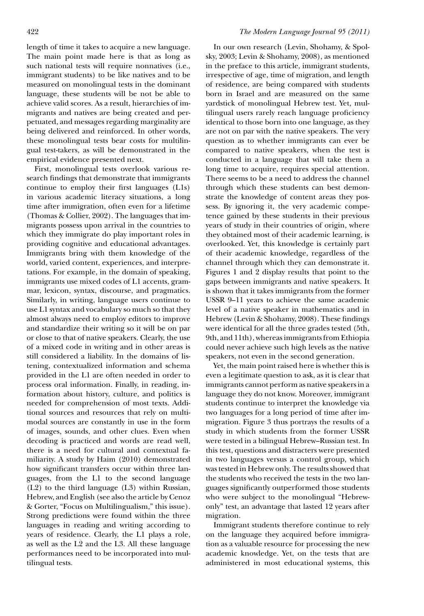length of time it takes to acquire a new language. The main point made here is that as long as such national tests will require nonnatives (i.e., immigrant students) to be like natives and to be measured on monolingual tests in the dominant language, these students will be not be able to achieve valid scores. As a result, hierarchies of immigrants and natives are being created and perpetuated, and messages regarding marginality are being delivered and reinforced. In other words, these monolingual tests bear costs for multilingual test-takers, as will be demonstrated in the empirical evidence presented next.

First, monolingual tests overlook various research findings that demonstrate that immigrants continue to employ their first languages (L1s) in various academic literacy situations, a long time after immigration, often even for a lifetime (Thomas & Collier, 2002). The languages that immigrants possess upon arrival in the countries to which they immigrate do play important roles in providing cognitive and educational advantages. Immigrants bring with them knowledge of the world, varied content, experiences, and interpretations. For example, in the domain of speaking, immigrants use mixed codes of L1 accents, grammar, lexicon, syntax, discourse, and pragmatics. Similarly, in writing, language users continue to use L1 syntax and vocabulary so much so that they almost always need to employ editors to improve and standardize their writing so it will be on par or close to that of native speakers. Clearly, the use of a mixed code in writing and in other areas is still considered a liability. In the domains of listening, contextualized information and schema provided in the L1 are often needed in order to process oral information. Finally, in reading, information about history, culture, and politics is needed for comprehension of most texts. Additional sources and resources that rely on multimodal sources are constantly in use in the form of images, sounds, and other clues. Even when decoding is practiced and words are read well, there is a need for cultural and contextual familiarity. A study by Haim (2010) demonstrated how significant transfers occur within three languages, from the L1 to the second language (L2) to the third language (L3) within Russian, Hebrew, and English (see also the article by Cenoz & Gorter, "Focus on Multilingualism," this issue). Strong predictions were found within the three languages in reading and writing according to years of residence. Clearly, the L1 plays a role, as well as the L2 and the L3. All these language performances need to be incorporated into multilingual tests.

In our own research (Levin, Shohamy, & Spolsky, 2003; Levin & Shohamy, 2008), as mentioned in the preface to this article, immigrant students, irrespective of age, time of migration, and length of residence, are being compared with students born in Israel and are measured on the same yardstick of monolingual Hebrew test. Yet, multilingual users rarely reach language proficiency identical to those born into one language, as they are not on par with the native speakers. The very question as to whether immigrants can ever be compared to native speakers, when the test is conducted in a language that will take them a long time to acquire, requires special attention. There seems to be a need to address the channel through which these students can best demonstrate the knowledge of content areas they possess. By ignoring it, the very academic competence gained by these students in their previous years of study in their countries of origin, where they obtained most of their academic learning, is overlooked. Yet, this knowledge is certainly part of their academic knowledge, regardless of the channel through which they can demonstrate it. Figures 1 and 2 display results that point to the gaps between immigrants and native speakers. It is shown that it takes immigrants from the former USSR 9–11 years to achieve the same academic level of a native speaker in mathematics and in Hebrew (Levin & Shohamy, 2008). These findings were identical for all the three grades tested (5th, 9th, and 11th), whereas immigrants from Ethiopia could never achieve such high levels as the native speakers, not even in the second generation.

Yet, the main point raised here is whether this is even a legitimate question to ask, as it is clear that immigrants cannot perform as native speakers in a language they do not know. Moreover, immigrant students continue to interpret the knowledge via two languages for a long period of time after immigration. Figure 3 thus portrays the results of a study in which students from the former USSR were tested in a bilingual Hebrew–Russian test. In this test, questions and distracters were presented in two languages versus a control group, which was tested in Hebrew only. The results showed that the students who received the tests in the two languages significantly outperformed those students who were subject to the monolingual "Hebrewonly" test, an advantage that lasted 12 years after migration.

Immigrant students therefore continue to rely on the language they acquired before immigration as a valuable resource for processing the new academic knowledge. Yet, on the tests that are administered in most educational systems, this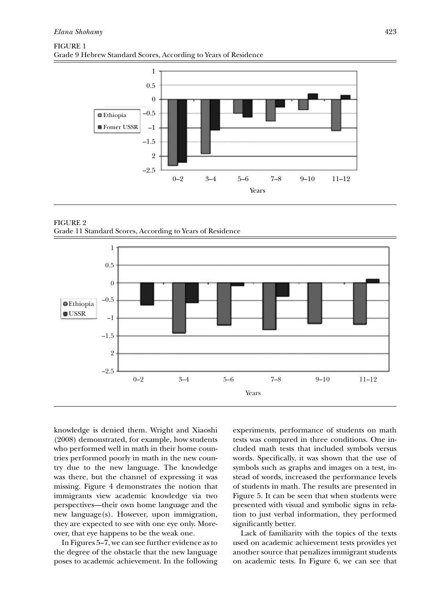## FIGURE 1 Grade 9 Hebrew Standard Scores, According to Years of Residence







knowledge is denied them. Wright and Xiaoshi (2008) demonstrated, for example, how students who performed well in math in their home countries performed poorly in math in the new country due to the new language. The knowledge was there, but the channel of expressing it was missing. Figure 4 demonstrates the notion that immigrants view academic knowledge via two perspectives—their own home language and the new language(s). However, upon immigration, they are expected to see with one eye only. Moreover, that eye happens to be the weak one.

In Figures 5–7, we can see further evidence as to the degree of the obstacle that the new language poses to academic achievement. In the following experiments, performance of students on math tests was compared in three conditions. One included math tests that included symbols versus words. Specifically, it was shown that the use of symbols such as graphs and images on a test, instead of words, increased the performance levels of students in math. The results are presented in Figure 5. It can be seen that when students were presented with visual and symbolic signs in relation to just verbal information, they performed significantly better.

Lack of familiarity with the topics of the texts used on academic achievement tests provides yet another source that penalizes immigrant students on academic tests. In Figure 6, we can see that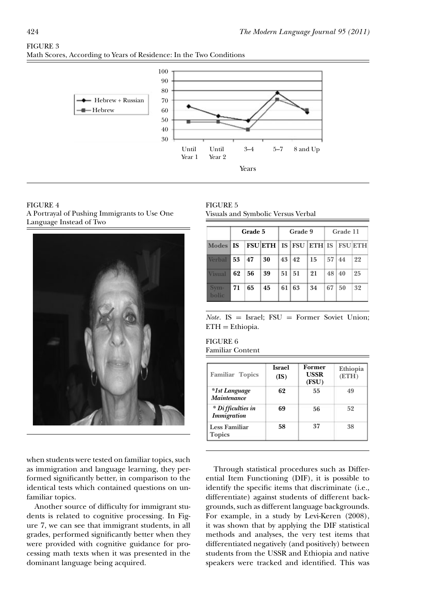## FIGURE 3 Math Scores, According to Years of Residence: In the Two Conditions



## FIGURE 4 A Portrayal of Pushing Immigrants to Use One Language Instead of Two



when students were tested on familiar topics, such as immigration and language learning, they performed significantly better, in comparison to the identical tests which contained questions on unfamiliar topics.

Another source of difficulty for immigrant students is related to cognitive processing. In Figure 7, we can see that immigrant students, in all grades, performed significantly better when they were provided with cognitive guidance for processing math texts when it was presented in the dominant language being acquired.

| <b>FIGURE 5</b>                    |  |
|------------------------------------|--|
| Visuals and Symbolic Versus Verbal |  |

|               | Grade 5   |    |               | Grade 9 |               |               | Grade 11 |    |                |
|---------------|-----------|----|---------------|---------|---------------|---------------|----------|----|----------------|
| <b>Modes</b>  | <b>IS</b> |    | <b>FSUETH</b> |         | <b>IS FSU</b> | <b>ETH IS</b> |          |    | <b>FSU ETH</b> |
| <b>Verbal</b> | 53        | 47 | 30            | 43      | 42            | 15            | 57       | 44 | 22             |
| Visual        | 62        | 56 | 39            | 51      | 51            | 21            | 48       | 40 | 25             |
| Svm-<br>bolic | 71        | 65 | 45            | 61      | 63            | 34            | 67       | 50 | 32             |

*Note*. IS = Israel; FSU = Former Soviet Union; ETH = Ethiopia.

FIGURE 6 Familiar Content

| <b>Familiar Topics</b>                  | <b>Israel</b><br>(IS) | <b>Former</b><br><b>USSR</b><br>(FSU) | Ethiopia<br>(ETH) |
|-----------------------------------------|-----------------------|---------------------------------------|-------------------|
| *1st Language<br><b>Maintenance</b>     | 62                    | 55                                    | 49                |
| * Difficulties in<br><b>Immigration</b> | 69                    | 56                                    | 52                |
| l Less Familiar<br>Topics               | 58                    | 37                                    | 38                |

Through statistical procedures such as Differential Item Functioning (DIF), it is possible to identify the specific items that discriminate (i.e., differentiate) against students of different backgrounds, such as different language backgrounds. For example, in a study by Levi-Keren (2008), it was shown that by applying the DIF statistical methods and analyses, the very test items that differentiated negatively (and positively) between students from the USSR and Ethiopia and native speakers were tracked and identified. This was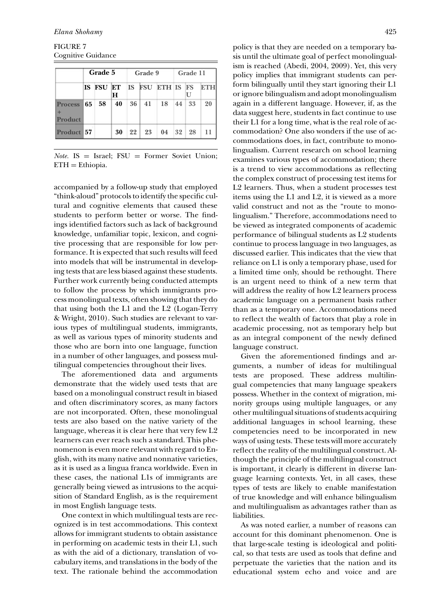FIGURE 7 Cognitive Guidance

|                                  | Grade 5 |         | Grade 9 |    |    | Grade 11                   |  |    |            |
|----------------------------------|---------|---------|---------|----|----|----------------------------|--|----|------------|
|                                  |         |         | Н       |    |    | IS FSU ET IS FSU ETH IS FS |  | U  | <b>ETH</b> |
| <b>Process</b><br><b>Product</b> |         | 65   58 | 40      |    |    | 36 41 18 44                |  | 33 | 20         |
| <b>Product</b> 57                |         |         | 30      | 22 | 23 | $04 \quad 32 \quad 28$     |  |    | -11        |

 $Note.$  IS = Israel;  $FSU$  = Former Soviet Union;  $ETH = Ethiopia.$ 

accompanied by a follow-up study that employed "think-aloud" protocols to identify the specific cultural and cognitive elements that caused these students to perform better or worse. The findings identified factors such as lack of background knowledge, unfamiliar topic, lexicon, and cognitive processing that are responsible for low performance. It is expected that such results will feed into models that will be instrumental in developing tests that are less biased against these students. Further work currently being conducted attempts to follow the process by which immigrants process monolingual texts, often showing that they do that using both the L1 and the L2 (Logan-Terry & Wright, 2010). Such studies are relevant to various types of multilingual students, immigrants, as well as various types of minority students and those who are born into one language, function in a number of other languages, and possess multilingual competencies throughout their lives.

The aforementioned data and arguments demonstrate that the widely used tests that are based on a monolingual construct result in biased and often discriminatory scores, as many factors are not incorporated. Often, these monolingual tests are also based on the native variety of the language, whereas it is clear here that very few L2 learners can ever reach such a standard. This phenomenon is even more relevant with regard to English, with its many native and nonnative varieties, as it is used as a lingua franca worldwide. Even in these cases, the national L1s of immigrants are generally being viewed as intrusions to the acquisition of Standard English, as is the requirement in most English language tests.

One context in which multilingual tests are recognized is in test accommodations. This context allows for immigrant students to obtain assistance in performing on academic tests in their L1, such as with the aid of a dictionary, translation of vocabulary items, and translations in the body of the text. The rationale behind the accommodation policy is that they are needed on a temporary basis until the ultimate goal of perfect monolingualism is reached (Abedi, 2004, 2009). Yet, this very policy implies that immigrant students can perform bilingually until they start ignoring their L1 or ignore bilingualism and adopt monolingualism again in a different language. However, if, as the data suggest here, students in fact continue to use their L1 for a long time, what is the real role of accommodation? One also wonders if the use of accommodations does, in fact, contribute to monolingualism. Current research on school learning examines various types of accommodation; there is a trend to view accommodations as reflecting the complex construct of processing test items for L2 learners. Thus, when a student processes test items using the L1 and L2, it is viewed as a more valid construct and not as the "route to monolingualism." Therefore, accommodations need to be viewed as integrated components of academic performance of bilingual students as L2 students continue to process language in two languages, as discussed earlier. This indicates that the view that reliance on L1 is only a temporary phase, used for a limited time only, should be rethought. There is an urgent need to think of a new term that will address the reality of how L2 learners process academic language on a permanent basis rather than as a temporary one. Accommodations need to reflect the wealth of factors that play a role in academic processing, not as temporary help but as an integral component of the newly defined language construct.

Given the aforementioned findings and arguments, a number of ideas for multilingual tests are proposed. These address multilingual competencies that many language speakers possess. Whether in the context of migration, minority groups using multiple languages, or any other multilingual situations of students acquiring additional languages in school learning, these competencies need to be incorporated in new ways of using tests. These tests will more accurately reflect the reality of the multilingual construct. Although the principle of the multilingual construct is important, it clearly is different in diverse language learning contexts. Yet, in all cases, these types of tests are likely to enable manifestation of true knowledge and will enhance bilingualism and multilingualism as advantages rather than as liabilities.

As was noted earlier, a number of reasons can account for this dominant phenomenon. One is that large-scale testing is ideological and political, so that tests are used as tools that define and perpetuate the varieties that the nation and its educational system echo and voice and are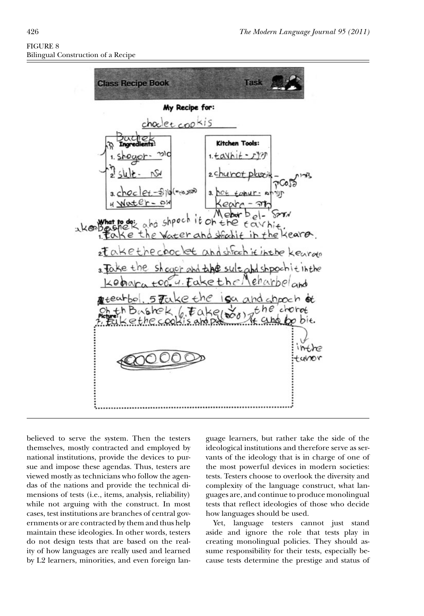## FIGURE 8 Bilingual Construction of a Recipe



believed to serve the system. Then the testers themselves, mostly contracted and employed by national institutions, provide the devices to pursue and impose these agendas. Thus, testers are viewed mostly as technicians who follow the agendas of the nations and provide the technical dimensions of tests (i.e., items, analysis, reliability) while not arguing with the construct. In most cases, test institutions are branches of central governments or are contracted by them and thus help maintain these ideologies. In other words, testers do not design tests that are based on the reality of how languages are really used and learned by L2 learners, minorities, and even foreign language learners, but rather take the side of the ideological institutions and therefore serve as servants of the ideology that is in charge of one of the most powerful devices in modern societies: tests. Testers choose to overlook the diversity and complexity of the language construct, what languages are, and continue to produce monolingual tests that reflect ideologies of those who decide how languages should be used.

Yet, language testers cannot just stand aside and ignore the role that tests play in creating monolingual policies. They should assume responsibility for their tests, especially because tests determine the prestige and status of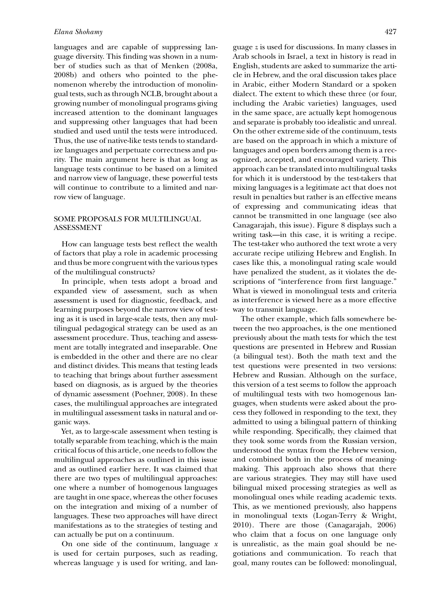#### *Elana Shohamy* 427

languages and are capable of suppressing language diversity. This finding was shown in a number of studies such as that of Menken (2008a, 2008b) and others who pointed to the phenomenon whereby the introduction of monolingual tests, such as through NCLB, brought about a growing number of monolingual programs giving increased attention to the dominant languages and suppressing other languages that had been studied and used until the tests were introduced. Thus, the use of native-like tests tends to standardize languages and perpetuate correctness and purity. The main argument here is that as long as language tests continue to be based on a limited and narrow view of language, these powerful tests will continue to contribute to a limited and narrow view of language.

#### SOME PROPOSALS FOR MULTILINGUAL ASSESSMENT

How can language tests best reflect the wealth of factors that play a role in academic processing and thus be more congruent with the various types of the multilingual constructs?

In principle, when tests adopt a broad and expanded view of assessment, such as when assessment is used for diagnostic, feedback, and learning purposes beyond the narrow view of testing as it is used in large-scale tests, then any multilingual pedagogical strategy can be used as an assessment procedure. Thus, teaching and assessment are totally integrated and inseparable. One is embedded in the other and there are no clear and distinct divides. This means that testing leads to teaching that brings about further assessment based on diagnosis, as is argued by the theories of dynamic assessment (Poehner, 2008). In these cases, the multilingual approaches are integrated in multilingual assessment tasks in natural and organic ways.

Yet, as to large-scale assessment when testing is totally separable from teaching, which is the main critical focus of this article, one needs to follow the multilingual approaches as outlined in this issue and as outlined earlier here. It was claimed that there are two types of multilingual approaches: one where a number of homogenous languages are taught in one space, whereas the other focuses on the integration and mixing of a number of languages. These two approaches will have direct manifestations as to the strategies of testing and can actually be put on a continuum.

On one side of the continuum, language *x* is used for certain purposes, such as reading, whereas language *y* is used for writing, and language *z* is used for discussions. In many classes in Arab schools in Israel, a text in history is read in English, students are asked to summarize the article in Hebrew, and the oral discussion takes place in Arabic, either Modern Standard or a spoken dialect. The extent to which these three (or four, including the Arabic varieties) languages, used in the same space, are actually kept homogenous and separate is probably too idealistic and unreal. On the other extreme side of the continuum, tests are based on the approach in which a mixture of languages and open borders among them is a recognized, accepted, and encouraged variety. This approach can be translated into multilingual tasks for which it is understood by the test-takers that mixing languages is a legitimate act that does not result in penalties but rather is an effective means of expressing and communicating ideas that cannot be transmitted in one language (see also Canagarajah, this issue). Figure 8 displays such a writing task—in this case, it is writing a recipe. The test-taker who authored the text wrote a very accurate recipe utilizing Hebrew and English. In cases like this, a monolingual rating scale would have penalized the student, as it violates the descriptions of "interference from first language." What is viewed in monolingual tests and criteria as interference is viewed here as a more effective way to transmit language.

The other example, which falls somewhere between the two approaches, is the one mentioned previously about the math tests for which the test questions are presented in Hebrew and Russian (a bilingual test). Both the math text and the test questions were presented in two versions: Hebrew and Russian. Although on the surface, this version of a test seems to follow the approach of multilingual tests with two homogenous languages, when students were asked about the process they followed in responding to the text, they admitted to using a bilingual pattern of thinking while responding. Specifically, they claimed that they took some words from the Russian version, understood the syntax from the Hebrew version, and combined both in the process of meaningmaking. This approach also shows that there are various strategies. They may still have used bilingual mixed processing strategies as well as monolingual ones while reading academic texts. This, as we mentioned previously, also happens in monolingual texts (Logan-Terry & Wright, 2010). There are those (Canagarajah, 2006) who claim that a focus on one language only is unrealistic, as the main goal should be negotiations and communication. To reach that goal, many routes can be followed: monolingual,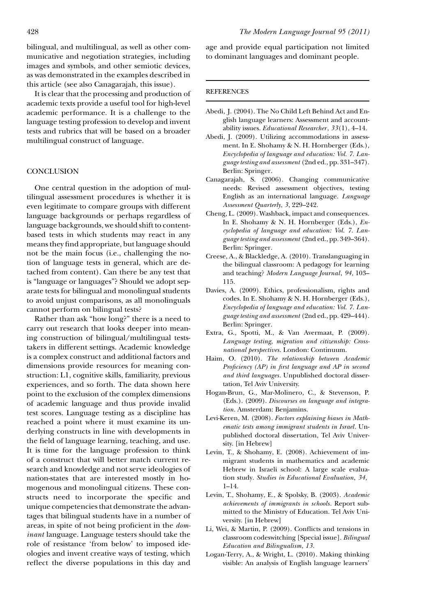bilingual, and multilingual, as well as other communicative and negotiation strategies, including images and symbols, and other semiotic devices, as was demonstrated in the examples described in this article (see also Canagarajah, this issue).

It is clear that the processing and production of academic texts provide a useful tool for high-level academic performance. It is a challenge to the language testing profession to develop and invent tests and rubrics that will be based on a broader multilingual construct of language.

## **CONCLUSION**

One central question in the adoption of multilingual assessment procedures is whether it is even legitimate to compare groups with different language backgrounds or perhaps regardless of language backgrounds, we should shift to contentbased tests in which students may react in any means they find appropriate, but language should not be the main focus (i.e., challenging the notion of language tests in general, which are detached from content). Can there be any test that is "language or languages"? Should we adopt separate tests for bilingual and monolingual students to avoid unjust comparisons, as all monolinguals cannot perform on bilingual tests?

Rather than ask "how long?" there is a need to carry out research that looks deeper into meaning construction of bilingual/multilingual teststakers in different settings. Academic knowledge is a complex construct and additional factors and dimensions provide resources for meaning construction: L1, cognitive skills, familiarity, previous experiences, and so forth. The data shown here point to the exclusion of the complex dimensions of academic language and thus provide invalid test scores. Language testing as a discipline has reached a point where it must examine its underlying constructs in line with developments in the field of language learning, teaching, and use. It is time for the language profession to think of a construct that will better match current research and knowledge and not serve ideologies of nation-states that are interested mostly in homogenous and monolingual citizens. These constructs need to incorporate the specific and unique competencies that demonstrate the advantages that bilingual students have in a number of areas, in spite of not being proficient in the *dominant* language. Language testers should take the role of resistance 'from below' to imposed ideologies and invent creative ways of testing, which reflect the diverse populations in this day and

age and provide equal participation not limited to dominant languages and dominant people.

#### **REFERENCES**

- Abedi, J. (2004). The No Child Left Behind Act and English language learners: Assessment and accountability issues. *Educational Researcher*, *33*(1), 4–14.
- Abedi, J. (2009). Utilizing accommodations in assessment. In E. Shohamy & N. H. Hornberger (Eds.), *Encyclopedia of language and education: Vol. 7. Language testing and assessment* (2nd ed., pp. 331–347). Berlin: Springer.
- Canagarajah, S. (2006). Changing communicative needs: Revised assessment objectives, testing English as an international language. *Language Assessment Quarterly*, *3*, 229–242.
- Cheng, L. (2009). Washback, impact and consequences. In E. Shohamy & N. H. Hornberger (Eds.), *Encyclopedia of language and education: Vol. 7. Language testing and assessment* (2nd ed., pp. 349–364). Berlin: Springer.
- Creese, A., & Blackledge, A. (2010). Translanguaging in the bilingual classroom: A pedagogy for learning and teaching? *Modern Language Journal*, *94*, 103– 115.
- Davies, A. (2009). Ethics, professionalism, rights and codes. In E. Shohamy & N. H. Hornberger (Eds.), *Encyclopedia of language and education: Vol. 7. Language testing and assessment* (2nd ed., pp. 429–444). Berlin: Springer.
- Extra, G., Spotti, M., & Van Avermaat, P. (2009). *Language testing, migration and citizenship: Crossnational perspectives*. London: Continuum.
- Haim, O. (2010). *The relationship between Academic Proficiency (AP) in first language and AP in second and third languages*. Unpublished doctoral dissertation, Tel Aviv University.
- Hogan-Brun, G., Mar-Molinero, C., & Stevenson, P. (Eds.). (2009). *Discourses on language and integration*. Amsterdam: Benjamins.
- Levi-Keren, M. (2008). *Factors explaining biases in Mathematic tests among immigrant students in Israel*. Unpublished doctoral dissertation, Tel Aviv University. [in Hebrew]
- Levin, T., & Shohamy, E. (2008). Achievement of immigrant students in mathematics and academic Hebrew in Israeli school: A large scale evaluation study. *Studies in Educational Evaluation*, *34*, 1–14.
- Levin, T., Shohamy, E., & Spolsky, B. (2003). *Academic achievements of immigrants in schools*. Report submitted to the Ministry of Education. Tel Aviv University. [in Hebrew]
- Li, Wei, & Martin, P. (2009). Conflicts and tensions in classroom codeswitching [Special issue]. *Bilingual Education and Bilingualism*, *13*.
- Logan-Terry, A., & Wright, L. (2010). Making thinking visible: An analysis of English language learners'